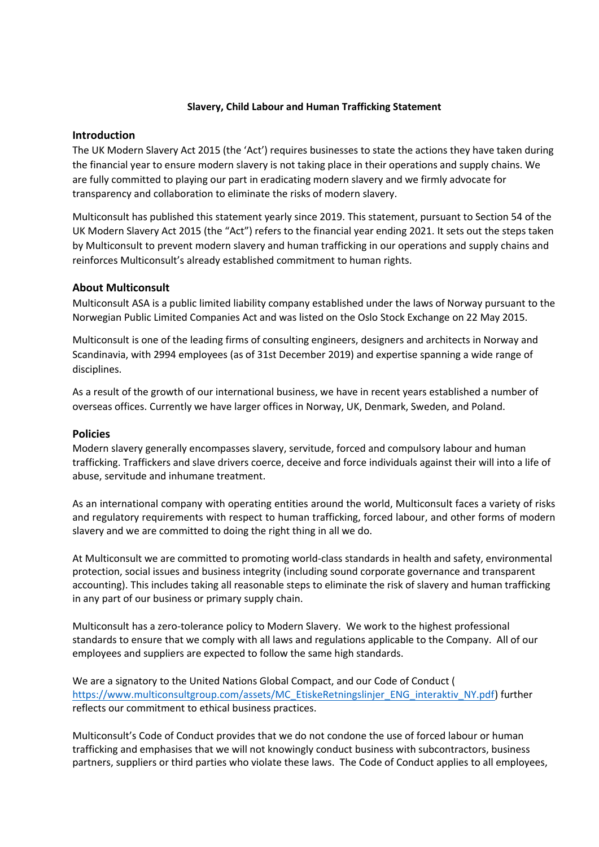### Slavery, Child Labour and Human Trafficking Statement

## **Introduction**

The UK Modern Slavery Act 2015 (the 'Act') requires businesses to state the actions they have taken during the financial year to ensure modern slavery is not taking place in their operations and supply chains. We are fully committed to playing our part in eradicating modern slavery and we firmly advocate for transparency and collaboration to eliminate the risks of modern slavery.

Multiconsult has published this statement yearly since 2019. This statement, pursuant to Section 54 of the UK Modern Slavery Act 2015 (the "Act") refers to the financial year ending 2021. It sets out the steps taken by Multiconsult to prevent modern slavery and human trafficking in our operations and supply chains and reinforces Multiconsult's already established commitment to human rights.

# About Multiconsult

Multiconsult ASA is a public limited liability company established under the laws of Norway pursuant to the Norwegian Public Limited Companies Act and was listed on the Oslo Stock Exchange on 22 May 2015.

Multiconsult is one of the leading firms of consulting engineers, designers and architects in Norway and Scandinavia, with 2994 employees (as of 31st December 2019) and expertise spanning a wide range of disciplines.

As a result of the growth of our international business, we have in recent years established a number of overseas offices. Currently we have larger offices in Norway, UK, Denmark, Sweden, and Poland.

#### Policies

Modern slavery generally encompasses slavery, servitude, forced and compulsory labour and human trafficking. Traffickers and slave drivers coerce, deceive and force individuals against their will into a life of abuse, servitude and inhumane treatment.

As an international company with operating entities around the world, Multiconsult faces a variety of risks and regulatory requirements with respect to human trafficking, forced labour, and other forms of modern slavery and we are committed to doing the right thing in all we do.

At Multiconsult we are committed to promoting world-class standards in health and safety, environmental protection, social issues and business integrity (including sound corporate governance and transparent accounting). This includes taking all reasonable steps to eliminate the risk of slavery and human trafficking in any part of our business or primary supply chain.

Multiconsult has a zero-tolerance policy to Modern Slavery. We work to the highest professional standards to ensure that we comply with all laws and regulations applicable to the Company. All of our employees and suppliers are expected to follow the same high standards.

We are a signatory to the United Nations Global Compact, and our Code of Conduct ( https://www.multiconsultgroup.com/assets/MC\_EtiskeRetningslinjer\_ENG\_interaktiv\_NY.pdf) further reflects our commitment to ethical business practices.

Multiconsult's Code of Conduct provides that we do not condone the use of forced labour or human trafficking and emphasises that we will not knowingly conduct business with subcontractors, business partners, suppliers or third parties who violate these laws. The Code of Conduct applies to all employees,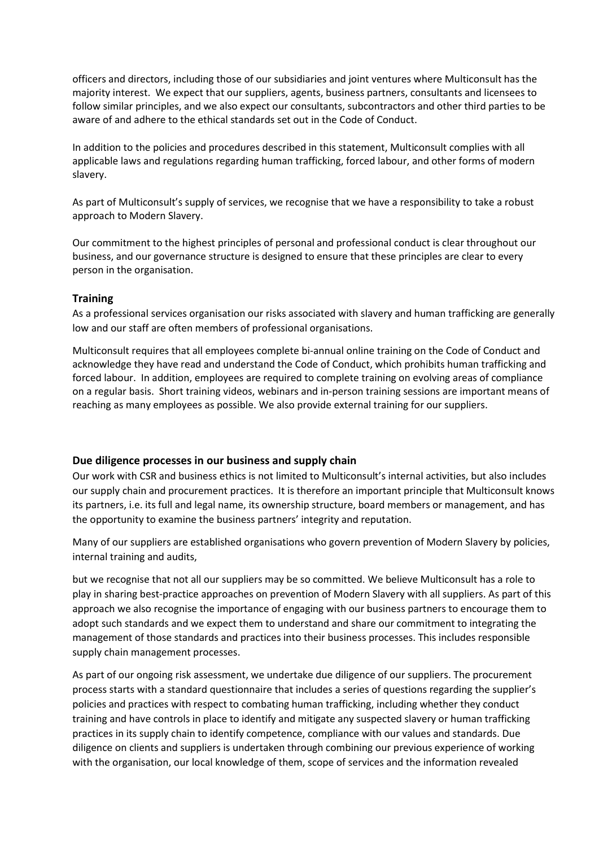officers and directors, including those of our subsidiaries and joint ventures where Multiconsult has the majority interest. We expect that our suppliers, agents, business partners, consultants and licensees to follow similar principles, and we also expect our consultants, subcontractors and other third parties to be aware of and adhere to the ethical standards set out in the Code of Conduct.

In addition to the policies and procedures described in this statement, Multiconsult complies with all applicable laws and regulations regarding human trafficking, forced labour, and other forms of modern slavery.

As part of Multiconsult's supply of services, we recognise that we have a responsibility to take a robust approach to Modern Slavery.

Our commitment to the highest principles of personal and professional conduct is clear throughout our business, and our governance structure is designed to ensure that these principles are clear to every person in the organisation.

## Training

As a professional services organisation our risks associated with slavery and human trafficking are generally low and our staff are often members of professional organisations.

Multiconsult requires that all employees complete bi-annual online training on the Code of Conduct and acknowledge they have read and understand the Code of Conduct, which prohibits human trafficking and forced labour. In addition, employees are required to complete training on evolving areas of compliance on a regular basis. Short training videos, webinars and in-person training sessions are important means of reaching as many employees as possible. We also provide external training for our suppliers.

#### Due diligence processes in our business and supply chain

Our work with CSR and business ethics is not limited to Multiconsult's internal activities, but also includes our supply chain and procurement practices. It is therefore an important principle that Multiconsult knows its partners, i.e. its full and legal name, its ownership structure, board members or management, and has the opportunity to examine the business partners' integrity and reputation.

Many of our suppliers are established organisations who govern prevention of Modern Slavery by policies, internal training and audits,

but we recognise that not all our suppliers may be so committed. We believe Multiconsult has a role to play in sharing best-practice approaches on prevention of Modern Slavery with all suppliers. As part of this approach we also recognise the importance of engaging with our business partners to encourage them to adopt such standards and we expect them to understand and share our commitment to integrating the management of those standards and practices into their business processes. This includes responsible supply chain management processes.

As part of our ongoing risk assessment, we undertake due diligence of our suppliers. The procurement process starts with a standard questionnaire that includes a series of questions regarding the supplier's policies and practices with respect to combating human trafficking, including whether they conduct training and have controls in place to identify and mitigate any suspected slavery or human trafficking practices in its supply chain to identify competence, compliance with our values and standards. Due diligence on clients and suppliers is undertaken through combining our previous experience of working with the organisation, our local knowledge of them, scope of services and the information revealed